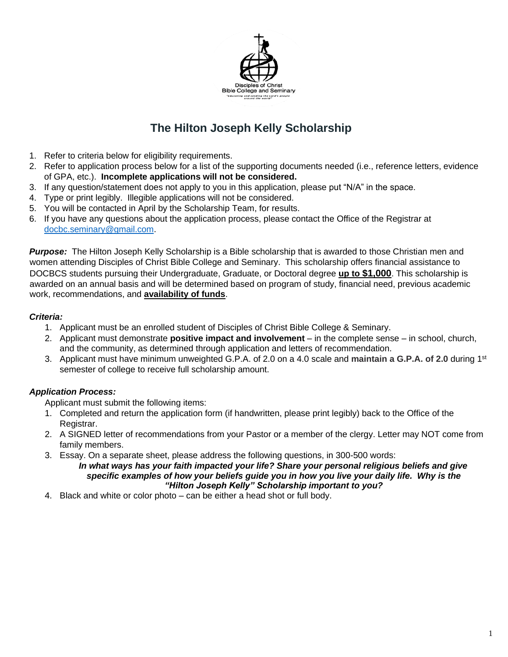

## **The Hilton Joseph Kelly Scholarship**

- 1. Refer to criteria below for eligibility requirements.
- 2. Refer to application process below for a list of the supporting documents needed (i.e., reference letters, evidence of GPA, etc.). **Incomplete applications will not be considered.**
- 3. If any question/statement does not apply to you in this application, please put "N/A" in the space.
- 4. Type or print legibly. Illegible applications will not be considered.
- 5. You will be contacted in April by the Scholarship Team, for results.
- 6. If you have any questions about the application process, please contact the Office of the Registrar at [docbc.seminary@gmail.com.](mailto:docbc.seminary@gmail.com)

*Purpose:* The Hilton Joseph Kelly Scholarship is a Bible scholarship that is awarded to those Christian men and women attending Disciples of Christ Bible College and Seminary. This scholarship offers financial assistance to DOCBCS students pursuing their Undergraduate, Graduate, or Doctoral degree **up to \$1,000**. This scholarship is awarded on an annual basis and will be determined based on program of study, financial need, previous academic work, recommendations, and **availability of funds**.

#### *Criteria:*

- 1. Applicant must be an enrolled student of Disciples of Christ Bible College & Seminary.
- 2. Applicant must demonstrate **positive impact and involvement** in the complete sense in school, church, and the community, as determined through application and letters of recommendation.
- 3. Applicant must have minimum unweighted G.P.A. of 2.0 on a 4.0 scale and **maintain a G.P.A. of 2.0** during 1st semester of college to receive full scholarship amount.

#### *Application Process:*

Applicant must submit the following items:

- 1. Completed and return the application form (if handwritten, please print legibly) back to the Office of the Registrar.
- 2. A SIGNED letter of recommendations from your Pastor or a member of the clergy. Letter may NOT come from family members.
- 3. Essay. On a separate sheet, please address the following questions, in 300-500 words:

*In what ways has your faith impacted your life? Share your personal religious beliefs and give specific examples of how your beliefs guide you in how you live your daily life. Why is the "Hilton Joseph Kelly" Scholarship important to you?* 

4. Black and white or color photo – can be either a head shot or full body.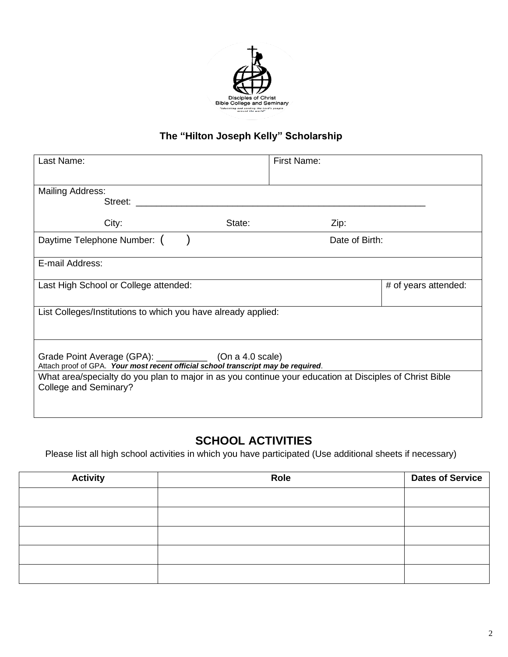

## **The "Hilton Joseph Kelly" Scholarship**

| Last Name:                                                                                                                                      | First Name:    |                      |  |  |
|-------------------------------------------------------------------------------------------------------------------------------------------------|----------------|----------------------|--|--|
| Mailing Address:<br>Street: <b>with the Street:</b>                                                                                             |                |                      |  |  |
| City:<br>State:                                                                                                                                 | Zip:           |                      |  |  |
| Daytime Telephone Number: (                                                                                                                     | Date of Birth: |                      |  |  |
| E-mail Address:                                                                                                                                 |                |                      |  |  |
| Last High School or College attended:                                                                                                           |                | # of years attended: |  |  |
| List Colleges/Institutions to which you have already applied:                                                                                   |                |                      |  |  |
| Grade Point Average (GPA): ______________ (On a 4.0 scale)<br>Attach proof of GPA. Your most recent official school transcript may be required. |                |                      |  |  |
| What area/specialty do you plan to major in as you continue your education at Disciples of Christ Bible<br>College and Seminary?                |                |                      |  |  |

# **SCHOOL ACTIVITIES**

Please list all high school activities in which you have participated (Use additional sheets if necessary)

| <b>Activity</b> | Role | <b>Dates of Service</b> |
|-----------------|------|-------------------------|
|                 |      |                         |
|                 |      |                         |
|                 |      |                         |
|                 |      |                         |
|                 |      |                         |